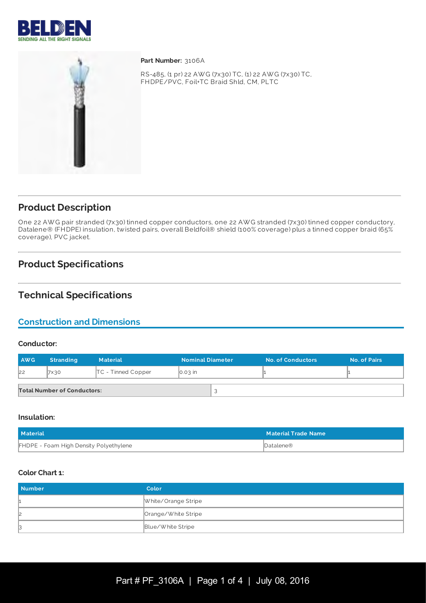



Part Number: 3106A

RS-485, (1 pr) 22 AW G (7x30) TC, (1) 22 AW G (7x30) TC, FHDPE/PVC, Foil+TC Braid Shld, CM, PLTC

## **Product Description**

One 22 AW G pair stranded (7x30) tinned copper conductors, one 22 AW G stranded (7x30) tinned copper conductory, Datalene® (FHDPE) insulation, twisted pairs, overall Beldfoil® shield (100% coverage) plus a tinned copper braid (65% coverage), PVC jacket.

# **Product Specifications**

## **Technical Specifications**

## **Construction and Dimensions**

#### **Conductor:**

| <b>AWG</b>                         | <b>Stranding</b> | <b>Material</b>      | <b>Nominal Diameter</b> |  | <b>No. of Conductors</b> | <b>No. of Pairs</b> |
|------------------------------------|------------------|----------------------|-------------------------|--|--------------------------|---------------------|
| 22                                 | 7X30             | $TC$ - Tinned Copper | $\big  0.03 \big $ in   |  |                          |                     |
| <b>Total Number of Conductors:</b> |                  |                      |                         |  |                          |                     |

### **Insulation:**

| <b>Material</b>                        | <b>Material Trade Name</b> |
|----------------------------------------|----------------------------|
| FHDPE - Foam High Density Polyethylene | Datalene®                  |

#### **Color Chart 1:**

| <b>Number</b> | Color               |
|---------------|---------------------|
|               | White/Orange Stripe |
| 12            | Orange/White Stripe |
| B             | Blue/White Stripe   |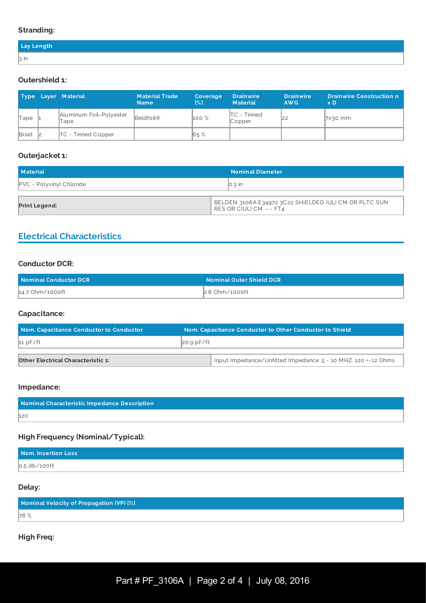### **Stranding:**

| Lay Length     |  |
|----------------|--|
| $\mathsf B$ in |  |

### **Outershield 1:**

|              | Type Layer Material             | <b>Material Trade</b><br><b>Name</b> | Coverage<br>$\left[\frac{9}{12}\right]$ | <b>Drainwire</b><br><b>Material</b>           | <b>Drainwire</b><br>AW <sub>G</sub> | <b>Drainwire Construction n</b><br>$\times D$ |
|--------------|---------------------------------|--------------------------------------|-----------------------------------------|-----------------------------------------------|-------------------------------------|-----------------------------------------------|
| Tape         | Aluminum Foil-Polyester<br>Tape | Beldfoil®                            | $100\%$                                 | $\mathsf{ITC}$ - Tinned<br>$\mathbb{C}$ opper |                                     | $7x30$ mm                                     |
| <b>Braid</b> | <b>TC</b> - Tinned Copper       |                                      | 65%                                     |                                               |                                     |                                               |

### **Outerjacket 1:**

| <b>Material</b>                 | <b>Nominal Diameter</b>                                                          |
|---------------------------------|----------------------------------------------------------------------------------|
| <b>PVC</b> - Polyvinyl Chloride | $\parallel$ 0.3 in                                                               |
| Print Legend:                   | BELDEN 3106A E34972 3C22 SHIELDED (UL) CM OR PLTC SUN<br>RES OR C(UL) CM --- FT4 |

## **Electrical Characteristics**

### **Conductor DCR:**

| Nominal Conductor DCR | <b>Nominal Outer Shield DCR</b> |
|-----------------------|---------------------------------|
| 14.7 Ohm/1000ft       | 2.8 Ohm/1000ft                  |

### **Capacitance:**

| Nom. Capacitance Conductor to Conductor   |  | Nom. Capacitance Conductor to Other Conductor to Shield      |  |  |
|-------------------------------------------|--|--------------------------------------------------------------|--|--|
| $20.9$ pF/ft<br>11pF/ft                   |  |                                                              |  |  |
|                                           |  |                                                              |  |  |
| <b>Other Electrical Characteristic 1:</b> |  | Input Impedance/Unfitted Impedance 5 - 10 MHZ, 120 +-12 Ohms |  |  |

### **Impedance:**

| Nominal Characteristic Impedance Description |  |
|----------------------------------------------|--|
| 120                                          |  |

### **High Frequency (Nominal/Typical):**

| Nom. Insertion Loss |  |
|---------------------|--|
| $0.5$ db/100ft      |  |

### **Delay:**

| Nominal Velocity of Propagation (VP) [%] |  |
|------------------------------------------|--|
| 78 %                                     |  |

### **High Freq:**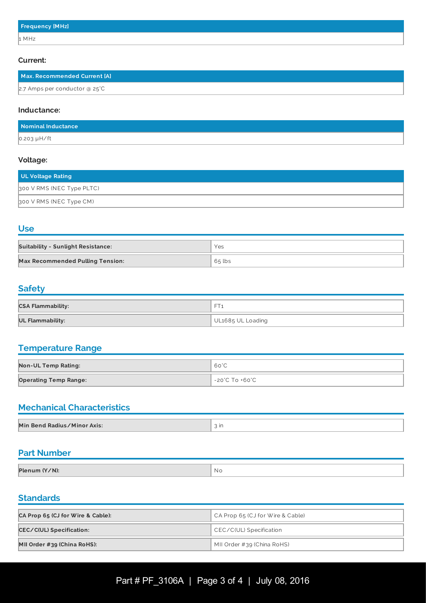#### **Current:**

| Max. Recommended Current [A]            |  |
|-----------------------------------------|--|
| 2.7 Amps per conductor @ $25^{\circ}$ C |  |

#### **Inductance:**

| Nominal Inductance |  |
|--------------------|--|
| $0.203 \mu H / ft$ |  |

#### **Voltage:**

| UL Voltage Rating         |
|---------------------------|
| 300 V RMS (NEC Type PLTC) |
| 300 V RMS (NEC Type CM)   |

**Use**

| <b>Suitability - Sunlight Resistance:</b> | Yes      |
|-------------------------------------------|----------|
| <b>Max Recommended Pulling Tension:</b>   | $65$ lbs |

## **Safety**

| <b>CSA Flammability:</b> | $-$<br>-          |
|--------------------------|-------------------|
| <b>UL Flammability:</b>  | UL1685 UL Loading |

## **Temperature Range**

| <b>Non-UL Temp Rating:</b>   | 60°C           |
|------------------------------|----------------|
| <b>Operating Temp Range:</b> | -20°C To +60°C |

## **Mechanical Characteristics**

| Min Bend Radius/Minor Axis: | . In |
|-----------------------------|------|

## **Part Number**

| Plenum (Y/N): | ' Nc |
|---------------|------|

### **Standards**

| CA Prop 65 (CJ for Wire & Cable): | CA Prop 65 (CJ for Wire & Cable) |  |
|-----------------------------------|----------------------------------|--|
| <b>CEC/C(UL) Specification:</b>   | CEC/C(UL) Specification          |  |
| MII Order #39 (China RoHS):       | MII Order #39 (China RoHS)       |  |